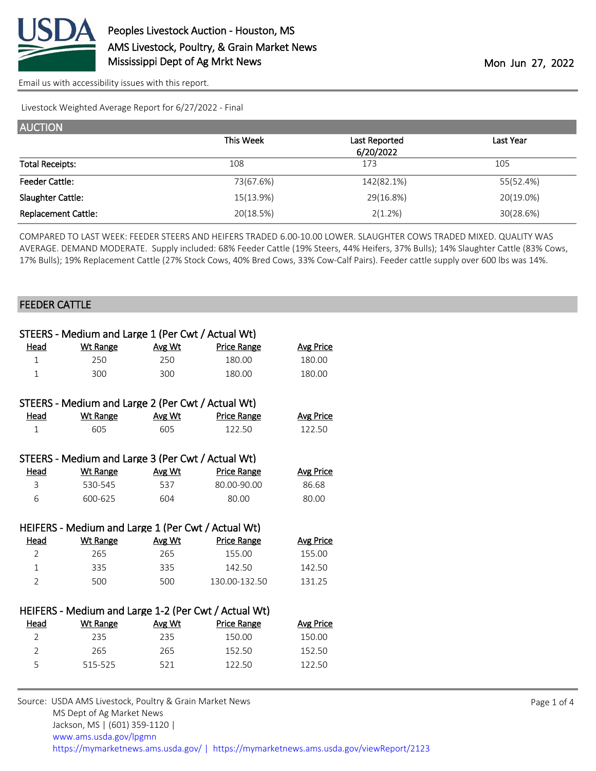

Livestock Weighted Average Report for 6/27/2022 - Final

| <b>AUCTION</b>             |           |               |           |
|----------------------------|-----------|---------------|-----------|
|                            | This Week | Last Reported | Last Year |
|                            |           | 6/20/2022     |           |
| <b>Total Receipts:</b>     | 108       | 173           | 105       |
| <b>Feeder Cattle:</b>      | 73(67.6%) | 142(82.1%)    | 55(52.4%) |
| Slaughter Cattle:          | 15(13.9%) | 29(16.8%)     | 20(19.0%) |
| <b>Replacement Cattle:</b> | 20(18.5%) | 2(1.2%)       | 30(28.6%) |

COMPARED TO LAST WEEK: FEEDER STEERS AND HEIFERS TRADED 6.00-10.00 LOWER. SLAUGHTER COWS TRADED MIXED. QUALITY WAS AVERAGE. DEMAND MODERATE. Supply included: 68% Feeder Cattle (19% Steers, 44% Heifers, 37% Bulls); 14% Slaughter Cattle (83% Cows, 17% Bulls); 19% Replacement Cattle (27% Stock Cows, 40% Bred Cows, 33% Cow-Calf Pairs). Feeder cattle supply over 600 lbs was 14%.

#### FEEDER CATTLE

|                | STEERS - Medium and Large 1 (Per Cwt / Actual Wt)    |        |                    |                  |
|----------------|------------------------------------------------------|--------|--------------------|------------------|
| <u>Head</u>    | <b>Wt Range</b>                                      | Avg Wt | <b>Price Range</b> | Avg Price        |
| $\mathbf{1}$   | 250                                                  | 250    | 180.00             | 180.00           |
| $\mathbf{1}$   | 300                                                  | 300    | 180.00             | 180.00           |
|                |                                                      |        |                    |                  |
|                | STEERS - Medium and Large 2 (Per Cwt / Actual Wt)    |        |                    |                  |
| Head           | <b>Wt Range</b>                                      | Avg Wt | <b>Price Range</b> | <b>Avg Price</b> |
| $\mathbf{1}$   | 605                                                  | 605    | 122.50             | 122.50           |
|                |                                                      |        |                    |                  |
|                | STEERS - Medium and Large 3 (Per Cwt / Actual Wt)    |        |                    |                  |
| Head           | <b>Wt Range</b>                                      | Avg Wt | <b>Price Range</b> | <b>Avg Price</b> |
| 3              | 530-545                                              | 537    | 80.00-90.00        | 86.68            |
| 6              | 600-625                                              | 604    | 80.00              | 80.00            |
|                |                                                      |        |                    |                  |
|                | HEIFERS - Medium and Large 1 (Per Cwt / Actual Wt)   |        |                    |                  |
| Head           | <b>Wt Range</b>                                      | Avg Wt | <b>Price Range</b> | <b>Avg Price</b> |
| $\overline{2}$ | 265                                                  | 265    | 155.00             | 155.00           |
| $\mathbf{1}$   | 335                                                  | 335    | 142.50             | 142.50           |
| $\overline{2}$ | 500                                                  | 500    | 130.00-132.50      | 131.25           |
|                |                                                      |        |                    |                  |
|                | HEIFERS - Medium and Large 1-2 (Per Cwt / Actual Wt) |        |                    |                  |
| Head           | <b>Wt Range</b>                                      | Avg Wt | <b>Price Range</b> | <b>Avg Price</b> |
| $\overline{2}$ | 235                                                  | 235    | 150.00             | 150.00           |
| $\overline{2}$ | 265                                                  | 265    | 152.50             | 152.50           |
| 5              | 515-525                                              | 521    | 122.50             | 122.50           |

Source: USDA AMS Livestock, Poultry & Grain Market News MS Dept of Ag Market News Jackson, MS | (601) 359-1120 | [www.ams.usda.gov/lpgmn](https://www.ams.usda.gov/market-news) <https://mymarketnews.ams.usda.gov/> [|](https://www.ams.usda.gov/market-news) <https://mymarketnews.ams.usda.gov/viewReport/2123>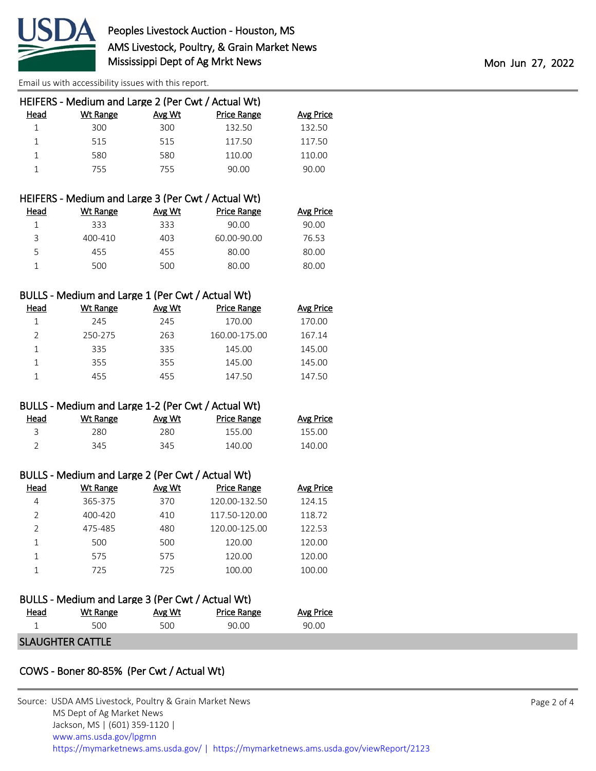

|      | HEIFERS - Medium and Large 2 (Per Cwt / Actual Wt) |        |                    |           |
|------|----------------------------------------------------|--------|--------------------|-----------|
| Head | Wt Range                                           | Avg Wt | <b>Price Range</b> | Avg Price |
|      | 300                                                | 300    | 132.50             | 132.50    |
|      | 515                                                | 515    | 117.50             | 117.50    |
|      | 580                                                | 580    | 110.00             | 110.00    |
|      | 755                                                | 755    | 90.00              | 90.00     |
|      |                                                    |        |                    |           |

|      | HEIFERS - Medium and Large 3 (Per Cwt / Actual Wt) |        |                    |                  |
|------|----------------------------------------------------|--------|--------------------|------------------|
| Head | Wt Range                                           | Avg Wt | <b>Price Range</b> | <b>Avg Price</b> |
|      | 333                                                | 333    | 90.00              | 90.00            |
| 3    | 400-410                                            | 403    | 60.00-90.00        | 76.53            |
| 5.   | 455                                                | 455    | 80.00              | 80.00            |
|      | 500                                                | 500    | 80.00              | 80.00            |

### BULLS - Medium and Large 1 (Per Cwt / Actual Wt)

| Head          | Wt Range | Avg Wt | Price Range   | <b>Avg Price</b> |
|---------------|----------|--------|---------------|------------------|
|               | 245      | 245    | 170.00        | 170.00           |
| $\mathcal{P}$ | 250-275  | 263    | 160.00-175.00 | 167.14           |
|               | 335      | 335    | 145.00        | 145.00           |
|               | 355      | 355    | 145.00        | 145.00           |
|               | 455      | 455    | 147.50        | 147.50           |

#### BULLS - Medium and Large 1-2 (Per Cwt / Actual Wt)

| Head | Wt Range | Avg Wt | Price Range | <b>Avg Price</b> |
|------|----------|--------|-------------|------------------|
|      | 280.     | 280    | 155.00      | 155.00           |
|      | 345      | 345    | 140.00      | 140.00           |

#### BULLS - Medium and Large 2 (Per Cwt / Actual Wt)

| Head          | Wt Range | Avg Wt | <b>Price Range</b> | <b>Avg Price</b> |
|---------------|----------|--------|--------------------|------------------|
| 4             | 365-375  | 370    | 120.00-132.50      | 124.15           |
| $\mathcal{P}$ | 400-420  | 410    | 117.50-120.00      | 118.72           |
|               | 475-485  | 480    | 120.00-125.00      | 122.53           |
|               | 500      | 500    | 120.00             | 120.00           |
|               | 575      | 575    | 120.00             | 120.00           |
|               | 725      | 725    | 100.00             | 100.00           |

# BULLS - Medium and Large 3 (Per Cwt / Actual Wt) Head Wt Range Avg Wt Price Range Avg Price 1 500 500 90.00 90.00

## SLAUGHTER CATTLE

# COWS - Boner 80-85% (Per Cwt / Actual Wt)

| Source: USDA AMS Livestock, Poultry & Grain Market News<br>MS Dept of Ag Market News<br>Jackson, MS   (601) 359-1120 |
|----------------------------------------------------------------------------------------------------------------------|
| www.ams.usda.gov/lpgmn<br>https://mymarketnews.ams.usda.gov/   https://mymarketnews.ams.usda.gov/viewReport/2123     |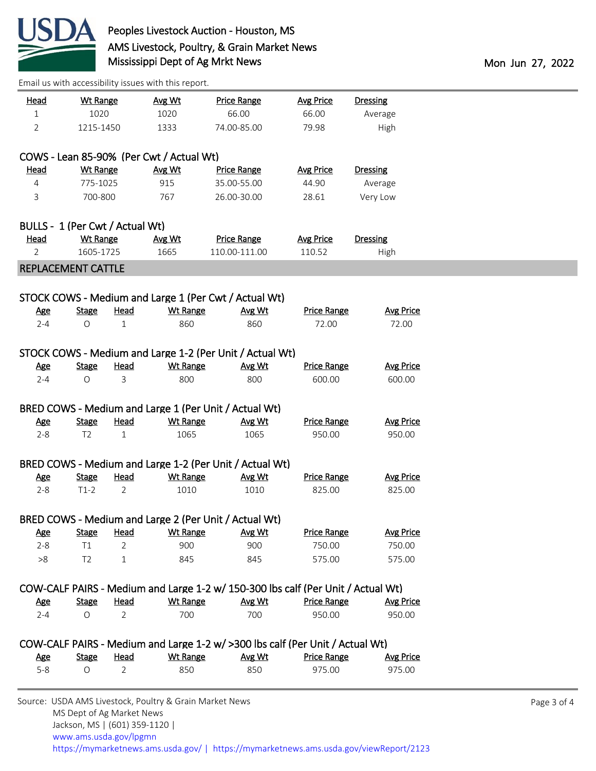

| <u>Head</u><br>$\mathbf{1}$     | <b>Wt Range</b><br>1020 |                               | Avg Wt<br>1020                                          | <b>Price Range</b><br>66.00                                                      | <b>Avg Price</b><br>66.00    | <b>Dressing</b><br>Average |             |
|---------------------------------|-------------------------|-------------------------------|---------------------------------------------------------|----------------------------------------------------------------------------------|------------------------------|----------------------------|-------------|
| $\overline{2}$                  | 1215-1450               |                               | 1333                                                    | 74.00-85.00                                                                      | 79.98                        | High                       |             |
|                                 |                         |                               |                                                         |                                                                                  |                              |                            |             |
|                                 |                         |                               | COWS - Lean 85-90% (Per Cwt / Actual Wt)                |                                                                                  |                              |                            |             |
| <u>Head</u>                     | <b>Wt Range</b>         |                               | Avg Wt                                                  | <b>Price Range</b>                                                               | <b>Avg Price</b>             | <b>Dressing</b>            |             |
| 4                               | 775-1025                |                               | 915                                                     | 35.00-55.00                                                                      | 44.90                        | Average                    |             |
| 3                               | 700-800                 |                               | 767                                                     | 26.00-30.00                                                                      | 28.61                        | Very Low                   |             |
| BULLS - 1 (Per Cwt / Actual Wt) |                         |                               |                                                         |                                                                                  |                              |                            |             |
| <u>Head</u>                     | Wt Range                |                               | Avg Wt                                                  | <b>Price Range</b>                                                               | <b>Avg Price</b>             | <b>Dressing</b>            |             |
| 2                               | 1605-1725               |                               | 1665                                                    | 110.00-111.00                                                                    | 110.52                       | High                       |             |
| REPLACEMENT CATTLE              |                         |                               |                                                         |                                                                                  |                              |                            |             |
|                                 |                         |                               |                                                         |                                                                                  |                              |                            |             |
|                                 |                         |                               |                                                         | STOCK COWS - Medium and Large 1 (Per Cwt / Actual Wt)                            |                              |                            |             |
| <u>Age</u>                      | <b>Stage</b>            | <b>Head</b>                   | <b>Wt Range</b>                                         | Avg Wt                                                                           | <b>Price Range</b>           | <b>Avg Price</b>           |             |
| $2 - 4$                         | O                       | $\mathbf{1}$                  | 860                                                     | 860                                                                              | 72.00                        | 72.00                      |             |
|                                 |                         |                               |                                                         | STOCK COWS - Medium and Large 1-2 (Per Unit / Actual Wt)                         |                              |                            |             |
| <u>Age</u>                      | <b>Stage</b>            | <u>Head</u>                   | <b>Wt Range</b>                                         | Avg Wt                                                                           | <b>Price Range</b>           | <b>Avg Price</b>           |             |
| $2 - 4$                         | O                       | 3                             | 800                                                     | 800                                                                              | 600.00                       | 600.00                     |             |
|                                 |                         |                               |                                                         |                                                                                  |                              |                            |             |
|                                 |                         |                               |                                                         | BRED COWS - Medium and Large 1 (Per Unit / Actual Wt)                            |                              |                            |             |
| <u>Age</u>                      | <b>Stage</b>            | <b>Head</b>                   | <b>Wt Range</b>                                         | Avg Wt                                                                           | <b>Price Range</b>           | <b>Avg Price</b>           |             |
| $2 - 8$                         | T <sub>2</sub>          | $\mathbf{1}$                  | 1065                                                    | 1065                                                                             | 950.00                       | 950.00                     |             |
|                                 |                         |                               |                                                         |                                                                                  |                              |                            |             |
|                                 |                         |                               |                                                         | BRED COWS - Medium and Large 1-2 (Per Unit / Actual Wt)                          |                              |                            |             |
| <u>Age</u><br>$2 - 8$           | <b>Stage</b><br>$T1-2$  | <u>Head</u><br>$\overline{2}$ | <b>Wt Range</b><br>1010                                 | Avg Wt<br>1010                                                                   | <b>Price Range</b><br>825.00 | <b>Avg Price</b><br>825.00 |             |
|                                 |                         |                               |                                                         |                                                                                  |                              |                            |             |
|                                 |                         |                               |                                                         | BRED COWS - Medium and Large 2 (Per Unit / Actual Wt)                            |                              |                            |             |
| <u>Age</u>                      | <b>Stage</b>            | <b>Head</b>                   | <b>Wt Range</b>                                         | Avg Wt                                                                           | <b>Price Range</b>           | <b>Avg Price</b>           |             |
| $2 - 8$                         | T1                      | 2                             | 900                                                     | 900                                                                              | 750.00                       | 750.00                     |             |
| >8                              | T <sub>2</sub>          | 1                             | 845                                                     | 845                                                                              | 575.00                       | 575.00                     |             |
|                                 |                         |                               |                                                         | COW-CALF PAIRS - Medium and Large 1-2 w/ 150-300 lbs calf (Per Unit / Actual Wt) |                              |                            |             |
| <u>Age</u>                      | <b>Stage</b>            | <u>Head</u>                   | <b>Wt Range</b>                                         | Avg Wt                                                                           | <b>Price Range</b>           | <b>Avg Price</b>           |             |
| $2 - 4$                         | O                       | $\overline{2}$                | 700                                                     | 700                                                                              | 950.00                       | 950.00                     |             |
|                                 |                         |                               |                                                         |                                                                                  |                              |                            |             |
|                                 |                         |                               |                                                         | COW-CALF PAIRS - Medium and Large 1-2 w/ >300 lbs calf (Per Unit / Actual Wt)    |                              |                            |             |
| <u>Age</u>                      | <b>Stage</b>            | <b>Head</b>                   | <b>Wt Range</b>                                         | Avg Wt                                                                           | <b>Price Range</b>           | <b>Avg Price</b>           |             |
| $5 - 8$                         | O                       | $\overline{2}$                | 850                                                     | 850                                                                              | 975.00                       | 975.00                     |             |
|                                 |                         |                               |                                                         |                                                                                  |                              |                            |             |
|                                 |                         | MS Dept of Ag Market News     | Source: USDA AMS Livestock, Poultry & Grain Market News |                                                                                  |                              |                            | Page 3 of 4 |

Jackson, MS | (601) 359-1120 |